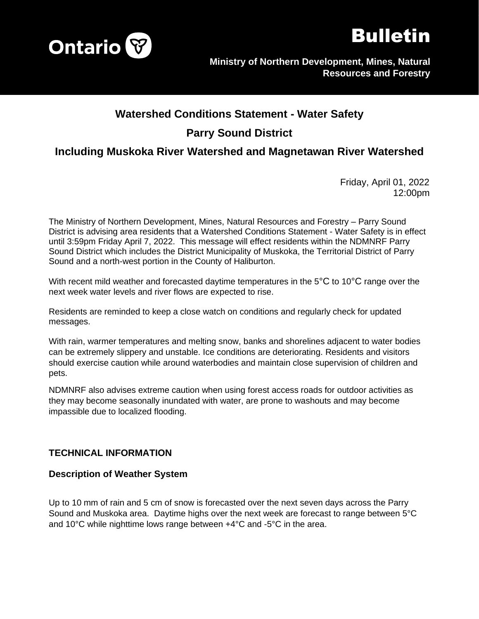



# **Watershed Conditions Statement - Water Safety Parry Sound District**

# **Including Muskoka River Watershed and Magnetawan River Watershed**

Friday, April 01, 2022 12:00pm

The Ministry of Northern Development, Mines, Natural Resources and Forestry – Parry Sound District is advising area residents that a Watershed Conditions Statement - Water Safety is in effect until 3:59pm Friday April 7, 2022. This message will effect residents within the NDMNRF Parry Sound District which includes the District Municipality of Muskoka, the Territorial District of Parry Sound and a north-west portion in the County of Haliburton.

With recent mild weather and forecasted daytime temperatures in the 5<sup>o</sup>C to 10<sup>o</sup>C range over the next week water levels and river flows are expected to rise.

Residents are reminded to keep a close watch on conditions and regularly check for updated messages.

With rain, warmer temperatures and melting snow, banks and shorelines adjacent to water bodies can be extremely slippery and unstable. Ice conditions are deteriorating. Residents and visitors should exercise caution while around waterbodies and maintain close supervision of children and pets.

NDMNRF also advises extreme caution when using forest access roads for outdoor activities as they may become seasonally inundated with water, are prone to washouts and may become impassible due to localized flooding.

## **TECHNICAL INFORMATION**

#### **Description of Weather System**

Up to 10 mm of rain and 5 cm of snow is forecasted over the next seven days across the Parry Sound and Muskoka area. Daytime highs over the next week are forecast to range between 5°C and 10°C while nighttime lows range between +4°C and -5°C in the area.